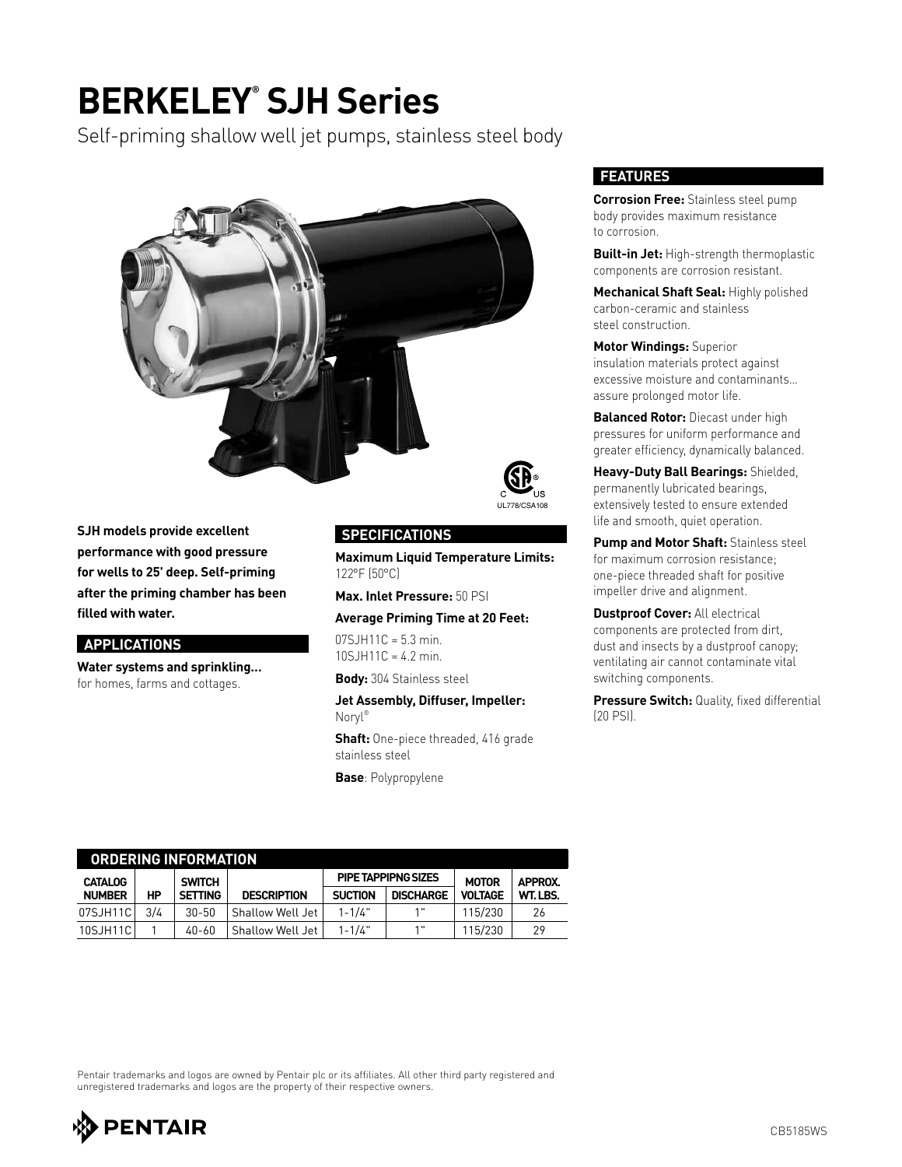## **BERKELEY® SJH Series**

Self-priming shallow well jet pumps, stainless steel body



**SJH models provide excellent performance with good pressure for wells to 25' deep. Self-priming after the priming chamber has been filled with water.**

#### **APPLICATIONS**

**Water systems and sprinkling…** for homes, farms and cottages.



**Maximum Liquid Temperature Limits:** 122°F (50°C)

**Max. Inlet Pressure:** 50 PSI

**Average Priming Time at 20 Feet:**

07SJH11C = 5.3 min. 10SJH11C = 4.2 min.

**Body:** 304 Stainless steel

**Jet Assembly, Diffuser, Impeller:** Noryl®

**Shaft:** One-piece threaded, 416 grade stainless steel

**Base**: Polypropylene

#### **FEATURES**

**Corrosion Free:** Stainless steel pump body provides maximum resistance to corrosion.

**Built-in Jet:** High-strength thermoplastic components are corrosion resistant.

**Mechanical Shaft Seal:** Highly polished carbon-ceramic and stainless steel construction.

**Motor Windings:** Superior insulation materials protect against excessive moisture and contaminants… assure prolonged motor life.

**Balanced Rotor:** Diecast under high pressures for uniform performance and greater efficiency, dynamically balanced.

**Heavy-Duty Ball Bearings:** Shielded, permanently lubricated bearings, extensively tested to ensure extended life and smooth, quiet operation.

**Pump and Motor Shaft:** Stainless steel for maximum corrosion resistance; one-piece threaded shaft for positive impeller drive and alignment.

**Dustproof Cover:** All electrical components are protected from dirt, dust and insects by a dustproof canopy; ventilating air cannot contaminate vital switching components.

**Pressure Switch:** Quality, fixed differential (20 PSI).

| ORDERING INFORMATION |     |                |                         |                |                     |                |                |  |  |  |  |
|----------------------|-----|----------------|-------------------------|----------------|---------------------|----------------|----------------|--|--|--|--|
| <b>CATALOG</b>       |     | <b>SWITCH</b>  |                         |                | PIPE TAPPIPNG SIZES | <b>MOTOR</b>   | <b>APPROX.</b> |  |  |  |  |
| <b>NUMBER</b>        | HP  | <b>SETTING</b> | <b>DESCRIPTION</b>      | <b>SUCTION</b> | <b>DISCHARGE</b>    | <b>VOLTAGE</b> | WT.LBS.        |  |  |  |  |
| 07SJH11C             | 3/4 | $30 - 50$      | Shallow Well Jet        | $1 - 1/4"$     | 1"                  | 115/230        | 26             |  |  |  |  |
| 10SJH11C             |     | 40-60          | <b>Shallow Well Jet</b> | $1 - 1/4"$     | 1"                  | 115/230        | 29             |  |  |  |  |

Pentair trademarks and logos are owned by Pentair plc or its affiliates. All other third party registered and unregistered trademarks and logos are the property of their respective owners.

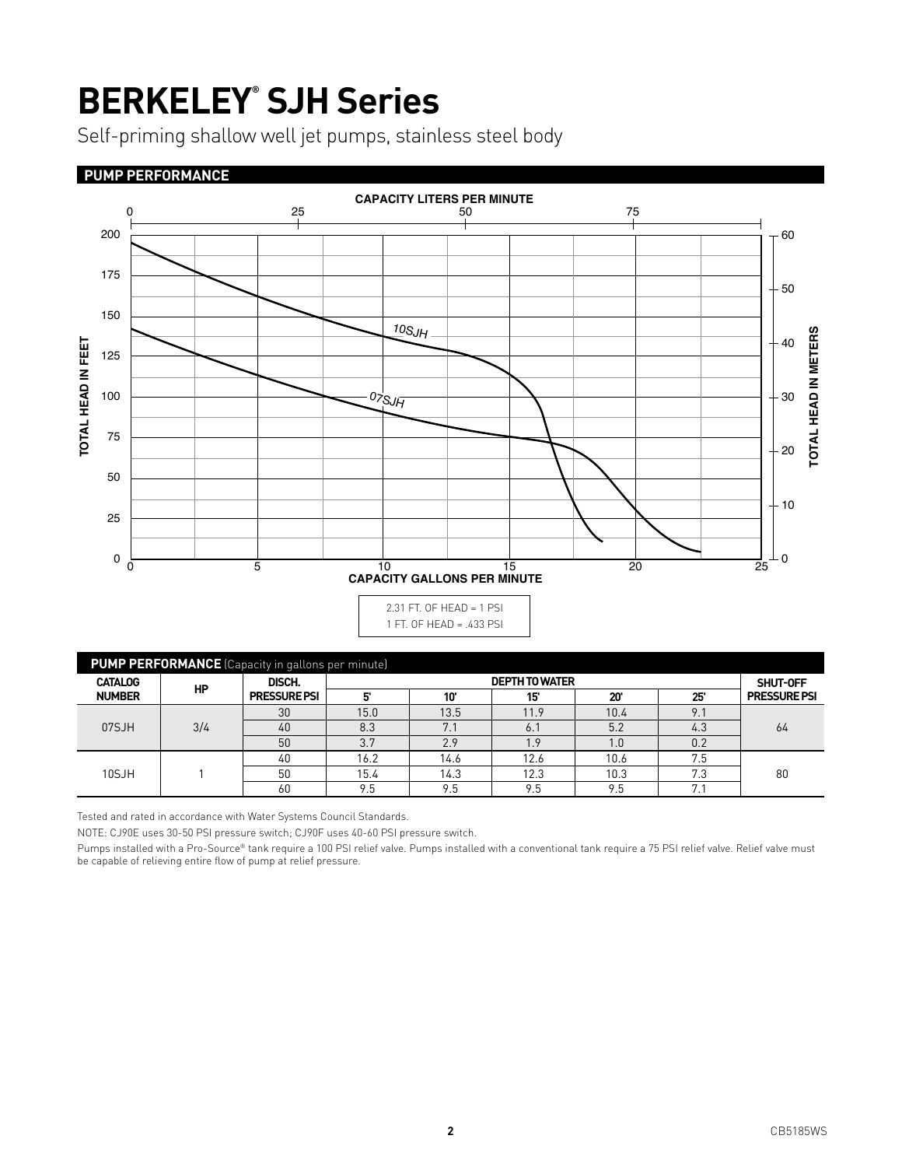# **BERKELEY® SJH Series**

Self-priming shallow well jet pumps, stainless steel body

#### **PUMP PERFORMANCE**



| <b>PUMP PERFORMANCE</b> (Capacity in gallons per minute) |           |                               |                       |      |          |              |     |                     |  |  |  |
|----------------------------------------------------------|-----------|-------------------------------|-----------------------|------|----------|--------------|-----|---------------------|--|--|--|
| <b>CATALOG</b><br><b>NUMBER</b>                          | <b>HP</b> | DISCH.<br><b>PRESSURE PSI</b> | <b>DEPTH TO WATER</b> |      |          |              |     | SHUT-OFF            |  |  |  |
|                                                          |           |                               | 5                     | 10'  | 15'      | $20^{\circ}$ | 25' | <b>PRESSURE PSI</b> |  |  |  |
| 07SJH                                                    | 3/4       | 30                            | 15.0                  | 13.5 | 11.9     | 10.4         | 9.1 | 64                  |  |  |  |
|                                                          |           | 40                            | 8.3                   | 7.1  | 6.7      | 5.2          | 4.3 |                     |  |  |  |
|                                                          |           | 50                            | 3.7                   | 2.9  | <b>Q</b> | 1.0          | 0.2 |                     |  |  |  |
| 10SJH                                                    |           | 40                            | 16.2                  | 14.6 | 12.6     | 10.6         | 7.5 | 80                  |  |  |  |
|                                                          |           | 50                            | 15.4                  | 14.3 | 12.3     | 10.3         | 7.3 |                     |  |  |  |
|                                                          |           | 60                            | 9.5                   | 9.5  | 9.5      | 9.5          | 7.1 |                     |  |  |  |

Tested and rated in accordance with Water Systems Council Standards.

NOTE: CJ90E uses 30-50 PSI pressure switch; CJ90F uses 40-60 PSI pressure switch.

Pumps installed with a Pro-Source® tank require a 100 PSI relief valve. Pumps installed with a conventional tank require a 75 PSI relief valve. Relief valve must<br>be capable of relieving entire flow of pump at relief pressu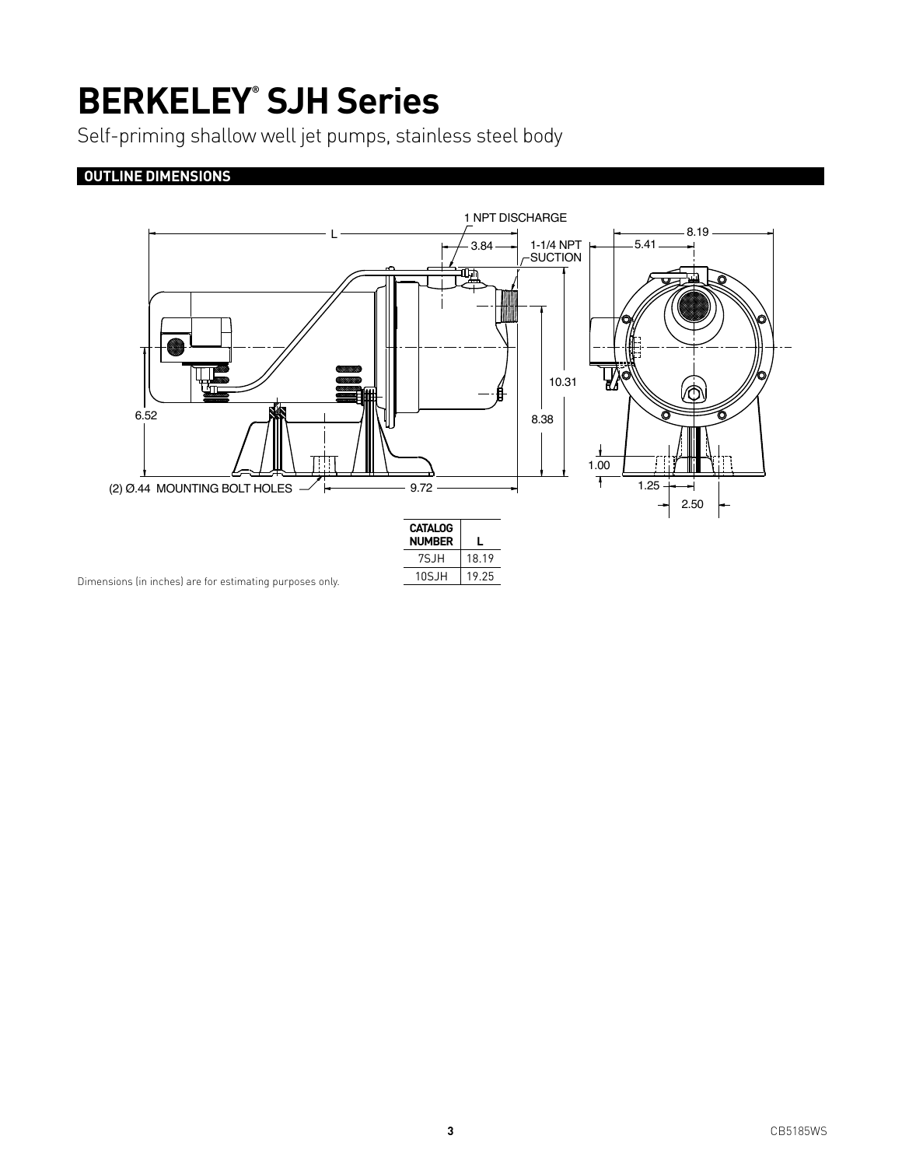# **BERKELEY® SJH Series**

Self-priming shallow well jet pumps, stainless steel body

### **OUTLINE DIMENSIONS**



Dimensions (in inches) are for estimating purposes only.